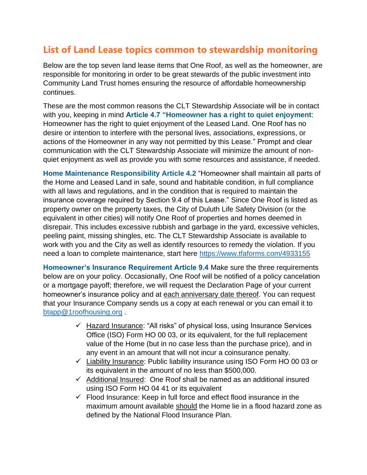## **List of Land Lease topics common to stewardship monitoring**

Below are the top seven land lease items that One Roof, as well as the homeowner, are responsible for monitoring in order to be great stewards of the public investment into Community Land Trust homes ensuring the resource of affordable homeownership continues.

These are the most common reasons the CLT Stewardship Associate will be in contact with you, keeping in mind **Article 4.7 "Homeowner has a right to quiet enjoyment**: Homeowner has the right to quiet enjoyment of the Leased Land. One Roof has no desire or intention to interfere with the personal lives, associations, expressions, or actions of the Homeowner in any way not permitted by this Lease." Prompt and clear communication with the CLT Stewardship Associate will minimize the amount of nonquiet enjoyment as well as provide you with some resources and assistance, if needed.

**Home Maintenance Responsibility Article 4.2** "Homeowner shall maintain all parts of the Home and Leased Land in safe, sound and habitable condition, in full compliance with all laws and regulations, and in the condition that is required to maintain the insurance coverage required by Section 9.4 of this Lease." Since One Roof is listed as property owner on the property taxes, the City of Duluth Life Safety Division (or the equivalent in other cities) will notify One Roof of properties and homes deemed in disrepair. This includes excessive rubbish and garbage in the yard, excessive vehicles, peeling paint, missing shingles, etc. The CLT Stewardship Associate is available to work with you and the City as well as identify resources to remedy the violation. If you need a loan to complete maintenance, start here<https://www.tfaforms.com/4933155>

**Homeowner's Insurance Requirement Article 9.4** Make sure the three requirements below are on your policy. Occasionally, One Roof will be notified of a policy cancelation or a mortgage payoff; therefore, we will request the Declaration Page of your current homeowner's insurance policy and at each anniversary date thereof. You can request that your Insurance Company sends us a copy at each renewal or you can email it to [btapp@1roofhousing.org](mailto:btapp@1roofhousing.org) .

- ✓ Hazard Insurance: "All risks" of physical loss, using Insurance Services Office (ISO) Form HO 00 03, or its equivalent, for the full replacement value of the Home (but in no case less than the purchase price), and in any event in an amount that will not incur a coinsurance penalty.
- ✓ Liability Insurance: Public liability insurance using ISO Form HO 00 03 or its equivalent in the amount of no less than \$500,000.
- $\checkmark$  Additional Insured: One Roof shall be named as an additional insured using ISO Form HO 04 41 or its equivalent
- $\checkmark$  Flood Insurance: Keep in full force and effect flood insurance in the maximum amount available should the Home lie in a flood hazard zone as defined by the National Flood Insurance Plan.